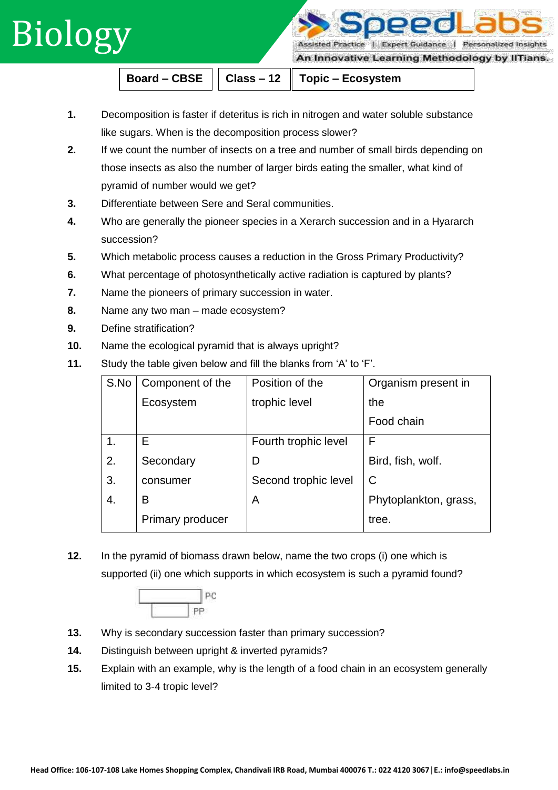## Biology

Assisted Practice | Expert Guidance | Personalized Insights

An Innovative Learning Methodology by IlTians.

**Board – CBSE**  $||$  Class – 12  $||$  Topic – Ecosystem

- **1.** Decomposition is faster if deteritus is rich in nitrogen and water soluble substance like sugars. When is the decomposition process slower?
- **2.** If we count the number of insects on a tree and number of small birds depending on those insects as also the number of larger birds eating the smaller, what kind of pyramid of number would we get?
- **3.** Differentiate between Sere and Seral communities.
- **4.** Who are generally the pioneer species in a Xerarch succession and in a Hyararch succession?
- **5.** Which metabolic process causes a reduction in the Gross Primary Productivity?
- **6.** What percentage of photosynthetically active radiation is captured by plants?
- **7.** Name the pioneers of primary succession in water.
- **8.** Name any two man made ecosystem?
- **9.** Define stratification?
- **10.** Name the ecological pyramid that is always upright?
- **11.** Study the table given below and fill the blanks from 'A' to 'F'.

| S.No | Component of the | Position of the      | Organism present in   |
|------|------------------|----------------------|-----------------------|
|      | Ecosystem        | trophic level        | the                   |
|      |                  |                      | Food chain            |
| 1.   | Е                | Fourth trophic level | F                     |
| 2.   | Secondary        | D                    | Bird, fish, wolf.     |
| 3.   | consumer         | Second trophic level | C                     |
| 4.   | B                | A                    | Phytoplankton, grass, |
|      | Primary producer |                      | tree.                 |

**12.** In the pyramid of biomass drawn below, name the two crops (i) one which is supported (ii) one which supports in which ecosystem is such a pyramid found?



- **13.** Why is secondary succession faster than primary succession?
- **14.** Distinguish between upright & inverted pyramids?
- **15.** Explain with an example, why is the length of a food chain in an ecosystem generally limited to 3-4 tropic level?